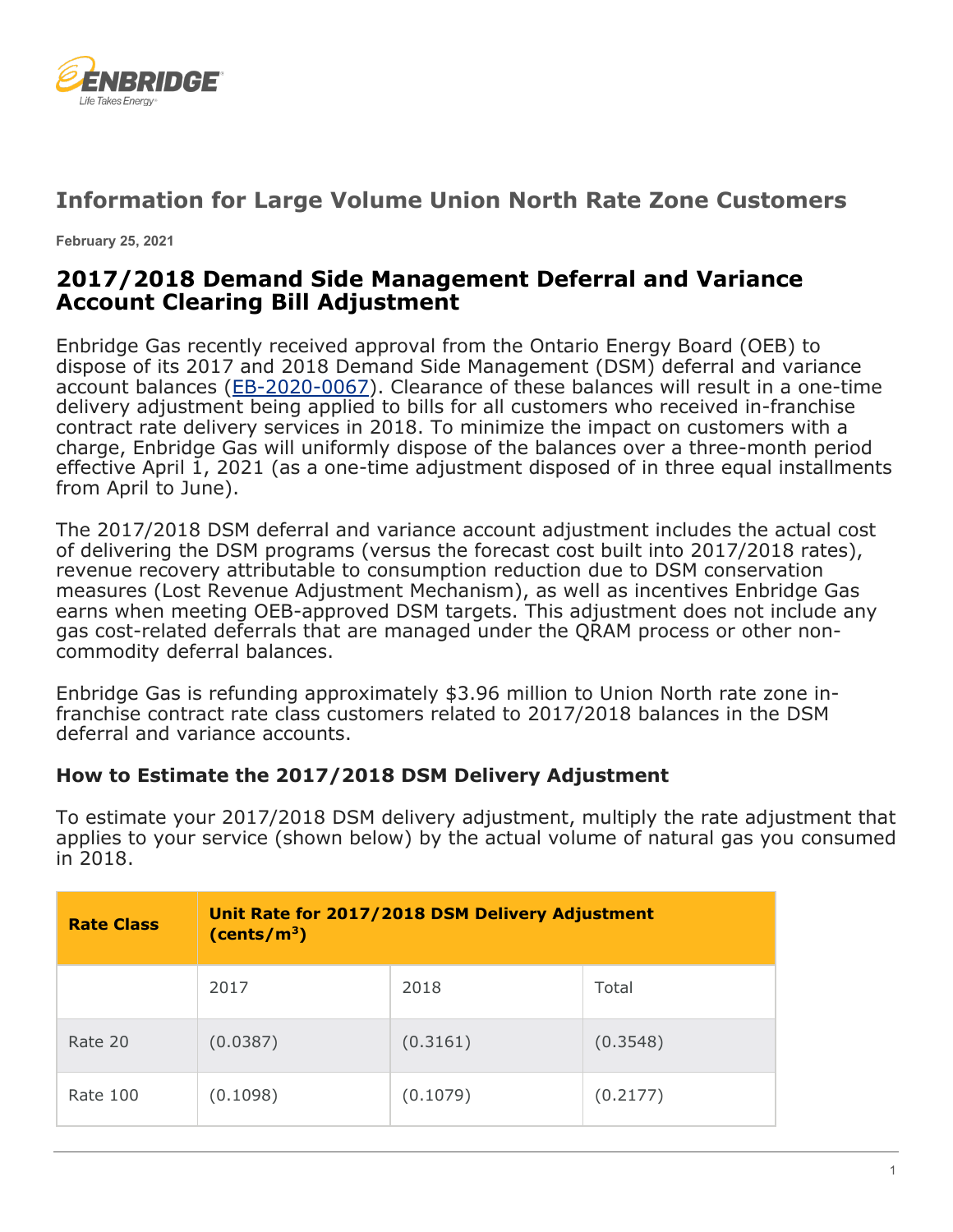

## **Information for Large Volume Union North Rate Zone Customers**

**February 25, 2021**

## **2017/2018 Demand Side Management Deferral and Variance Account Clearing Bill Adjustment**

Enbridge Gas recently received approval from the Ontario Energy Board (OEB) to dispose of its 2017 and 2018 Demand Side Management (DSM) deferral and variance account balances [\(EB-2020-0067\)](https://www.enbridgegas.com/Regulatory-Proceedings). Clearance of these balances will result in a one-time delivery adjustment being applied to bills for all customers who received in-franchise contract rate delivery services in 2018. To minimize the impact on customers with a charge, Enbridge Gas will uniformly dispose of the balances over a three-month period effective April 1, 2021 (as a one-time adjustment disposed of in three equal installments from April to June).

The 2017/2018 DSM deferral and variance account adjustment includes the actual cost of delivering the DSM programs (versus the forecast cost built into 2017/2018 rates), revenue recovery attributable to consumption reduction due to DSM conservation measures (Lost Revenue Adjustment Mechanism), as well as incentives Enbridge Gas earns when meeting OEB-approved DSM targets. This adjustment does not include any gas cost-related deferrals that are managed under the QRAM process or other noncommodity deferral balances.

Enbridge Gas is refunding approximately \$3.96 million to Union North rate zone infranchise contract rate class customers related to 2017/2018 balances in the DSM deferral and variance accounts.

## **How to Estimate the 2017/2018 DSM Delivery Adjustment**

To estimate your 2017/2018 DSM delivery adjustment, multiply the rate adjustment that applies to your service (shown below) by the actual volume of natural gas you consumed  $in$  2018.

| <b>Rate Class</b> | Unit Rate for 2017/2018 DSM Delivery Adjustment<br>(cents/m <sup>3</sup> ) |          |          |  |
|-------------------|----------------------------------------------------------------------------|----------|----------|--|
|                   | 2017                                                                       | 2018     | Total    |  |
| Rate 20           | (0.0387)                                                                   | (0.3161) | (0.3548) |  |
| Rate 100          | (0.1098)                                                                   | (0.1079) | (0.2177) |  |